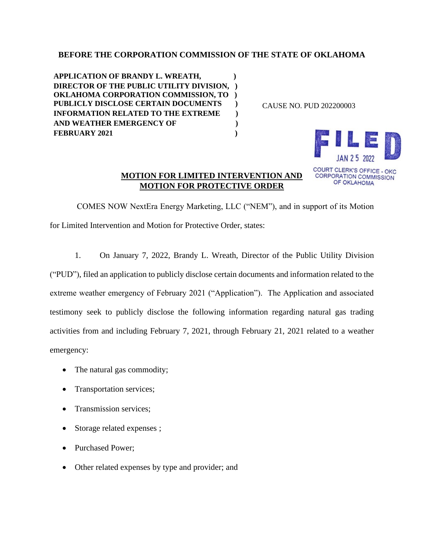# **BEFORE THE CORPORATION COMMISSION OF THE STATE OF OKLAHOMA**

**APPLICATION OF BRANDY L. WREATH, ) DIRECTOR OF THE PUBLIC UTILITY DIVISION, ) OKLAHOMA CORPORATION COMMISSION, TO ) PUBLICLY DISCLOSE CERTAIN DOCUMENTS ) INFORMATION RELATED TO THE EXTREME ) AND WEATHER EMERGENCY OF ) FEBRUARY 2021 )**

CAUSE NO. PUD 202200003



# **MOTION FOR LIMITED INTERVENTION AND MOTION FOR PROTECTIVE ORDER**

COMES NOW NextEra Energy Marketing, LLC ("NEM"), and in support of its Motion for Limited Intervention and Motion for Protective Order, states:

1. On January 7, 2022, Brandy L. Wreath, Director of the Public Utility Division

("PUD"), filed an application to publicly disclose certain documents and information related to the extreme weather emergency of February 2021 ("Application"). The Application and associated testimony seek to publicly disclose the following information regarding natural gas trading activities from and including February 7, 2021, through February 21, 2021 related to a weather emergency:

- The natural gas commodity;
- Transportation services;
- Transmission services:
- Storage related expenses ;
- Purchased Power;
- Other related expenses by type and provider; and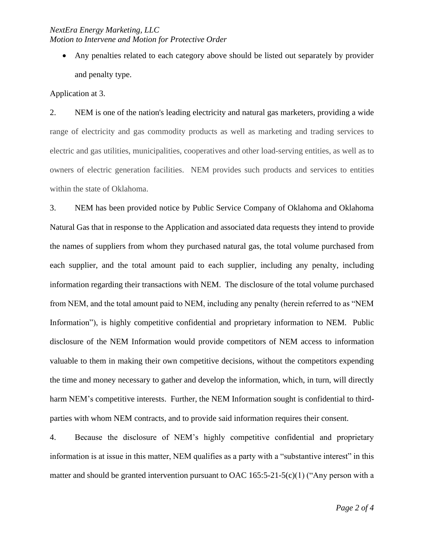### *NextEra Energy Marketing, LLC Motion to Intervene and Motion for Protective Order*

• Any penalties related to each category above should be listed out separately by provider and penalty type.

Application at 3.

2. NEM is one of the nation's leading electricity and natural gas marketers, providing a wide range of electricity and gas commodity products as well as marketing and trading services to electric and gas utilities, municipalities, cooperatives and other load-serving entities, as well as to owners of electric generation facilities. NEM provides such products and services to entities within the state of Oklahoma.

3. NEM has been provided notice by Public Service Company of Oklahoma and Oklahoma Natural Gas that in response to the Application and associated data requests they intend to provide the names of suppliers from whom they purchased natural gas, the total volume purchased from each supplier, and the total amount paid to each supplier, including any penalty, including information regarding their transactions with NEM. The disclosure of the total volume purchased from NEM, and the total amount paid to NEM, including any penalty (herein referred to as "NEM Information"), is highly competitive confidential and proprietary information to NEM. Public disclosure of the NEM Information would provide competitors of NEM access to information valuable to them in making their own competitive decisions, without the competitors expending the time and money necessary to gather and develop the information, which, in turn, will directly harm NEM's competitive interests. Further, the NEM Information sought is confidential to thirdparties with whom NEM contracts, and to provide said information requires their consent.

4. Because the disclosure of NEM's highly competitive confidential and proprietary information is at issue in this matter, NEM qualifies as a party with a "substantive interest" in this matter and should be granted intervention pursuant to OAC 165:5-21-5(c)(1) ("Any person with a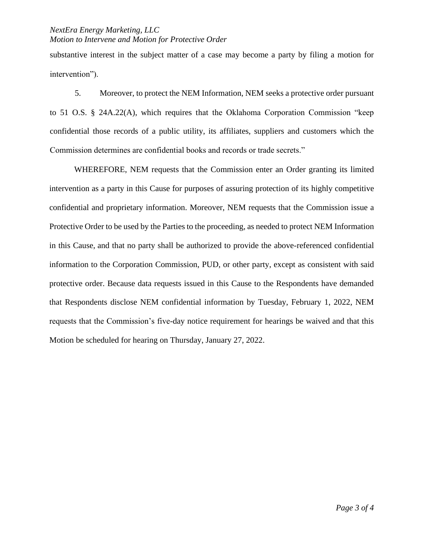## *NextEra Energy Marketing, LLC Motion to Intervene and Motion for Protective Order*

substantive interest in the subject matter of a case may become a party by filing a motion for intervention").

5. Moreover, to protect the NEM Information, NEM seeks a protective order pursuant to 51 O.S. § 24A.22(A), which requires that the Oklahoma Corporation Commission "keep confidential those records of a public utility, its affiliates, suppliers and customers which the Commission determines are confidential books and records or trade secrets."

WHEREFORE, NEM requests that the Commission enter an Order granting its limited intervention as a party in this Cause for purposes of assuring protection of its highly competitive confidential and proprietary information. Moreover, NEM requests that the Commission issue a Protective Order to be used by the Parties to the proceeding, as needed to protect NEM Information in this Cause, and that no party shall be authorized to provide the above-referenced confidential information to the Corporation Commission, PUD, or other party, except as consistent with said protective order. Because data requests issued in this Cause to the Respondents have demanded that Respondents disclose NEM confidential information by Tuesday, February 1, 2022, NEM requests that the Commission's five-day notice requirement for hearings be waived and that this Motion be scheduled for hearing on Thursday, January 27, 2022.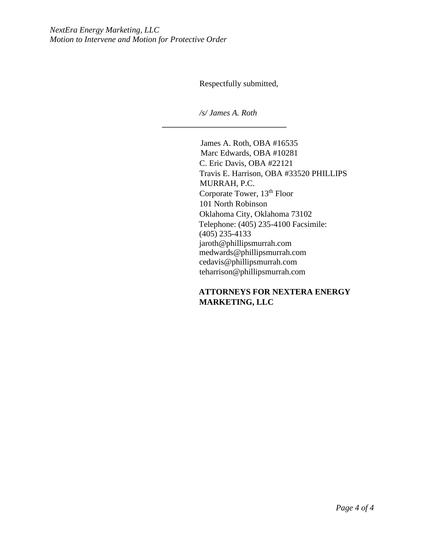Respectfully submitted,

*/s/ James A. Roth* 

James A. Roth, OBA #16535 Marc Edwards, OBA #10281 C. Eric Davis, OBA #22121 Travis E. Harrison, OBA #33520 PHILLIPS MURRAH, P.C. Corporate Tower, 13<sup>th</sup> Floor 101 North Robinson Oklahoma City, Oklahoma 73102 Telephone: (405) 235-4100 Facsimile: (405) 235-4133 jaroth@phillipsmurrah.com medwards@phillipsmurrah.com cedavis@phillipsmurrah.com teharrison@phillipsmurrah.com

**ATTORNEYS FOR NEXTERA ENERGY MARKETING, LLC**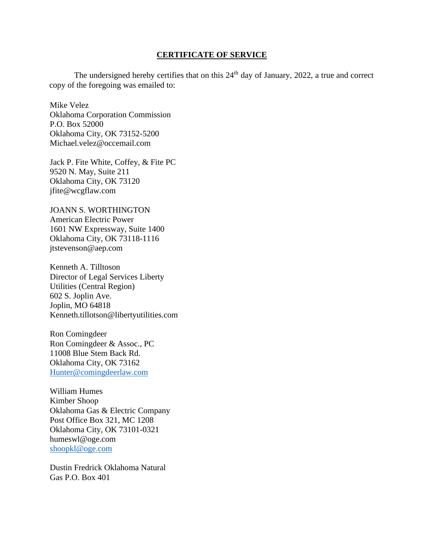#### **CERTIFICATE OF SERVICE**

The undersigned hereby certifies that on this 24<sup>th</sup> day of January, 2022, a true and correct copy of the foregoing was emailed to:

Mike Velez Oklahoma Corporation Commission P.O. Box 52000 Oklahoma City, OK 73152-5200 Michael.velez@occemail.com

Jack P. Fite White, Coffey, & Fite PC 9520 N. May, Suite 211 Oklahoma City, OK 73120 jfite@wcgflaw.com

JOANN S. WORTHINGTON American Electric Power 1601 NW Expressway, Suite 1400 Oklahoma City, OK 73118-1116 jtstevenson@aep.com

Kenneth A. Tilltoson Director of Legal Services Liberty Utilities (Central Region) 602 S. Joplin Ave. Joplin, MO 64818 Kenneth.tillotson@libertyutilities.com

Ron Comingdeer Ron Comingdeer & Assoc., PC 11008 Blue Stem Back Rd. Oklahoma City, OK 73162 [Hunter@comingdeerlaw.com](mailto:Hunter@comingdeerlaw.com)

William Humes Kimber Shoop Oklahoma Gas & Electric Company Post Office Box 321, MC 1208 Oklahoma City, OK 73101-0321 humeswl@oge.com [shoopkl@oge.com](mailto:shoopkl@oge.com)

Dustin Fredrick Oklahoma Natural Gas P.O. Box 401